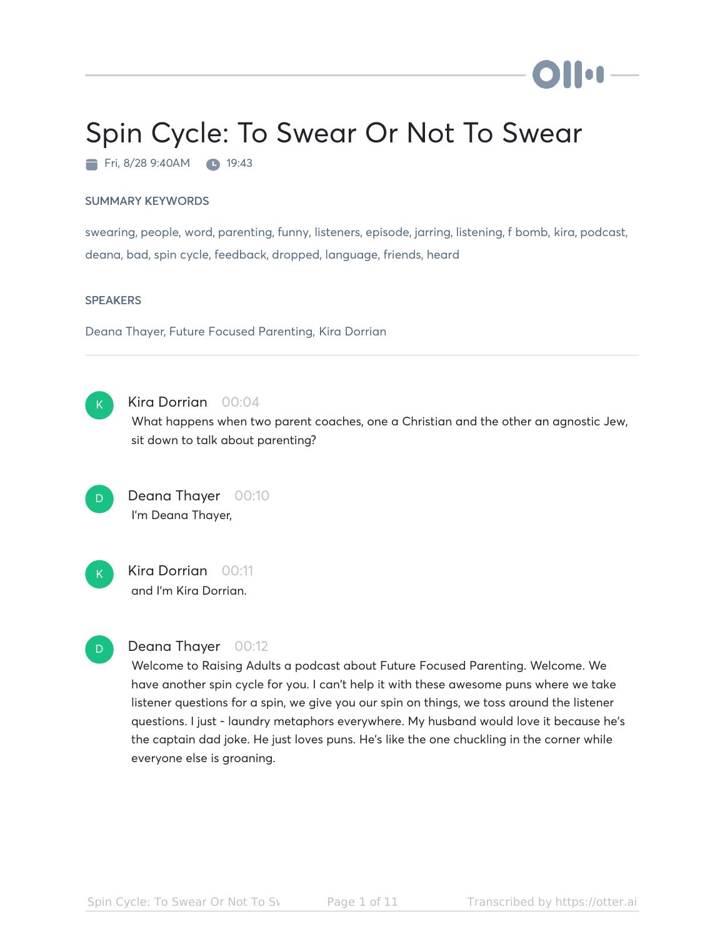# Spin Cycle: To Swear Or Not To Swear

Fri, 8/28 9:40AM 19:43

#### SUMMARY KEYWORDS

swearing, people, word, parenting, funny, listeners, episode, jarring, listening, f bomb, kira, podcast, deana, bad, spin cycle, feedback, dropped, language, friends, heard

#### **SPEAKERS**

Deana Thayer, Future Focused Parenting, Kira Dorrian



#### Kira Dorrian 00:04

What happens when two parent coaches, one a Christian and the other an agnostic Jew, sit down to talk about parenting?



Deana Thayer 00:10 I'm Deana Thayer,



# Kira Dorrian 00:11 and I'm Kira Dorrian.



### Deana Thayer 00:12

Welcome to Raising Adults a podcast about Future Focused Parenting. Welcome. We have another spin cycle for you. I can't help it with these awesome puns where we take listener questions for a spin, we give you our spin on things, we toss around the listener questions. I just - laundry metaphors everywhere. My husband would love it because he's the captain dad joke. He just loves puns. He's like the one chuckling in the corner while everyone else is groaning.

) II on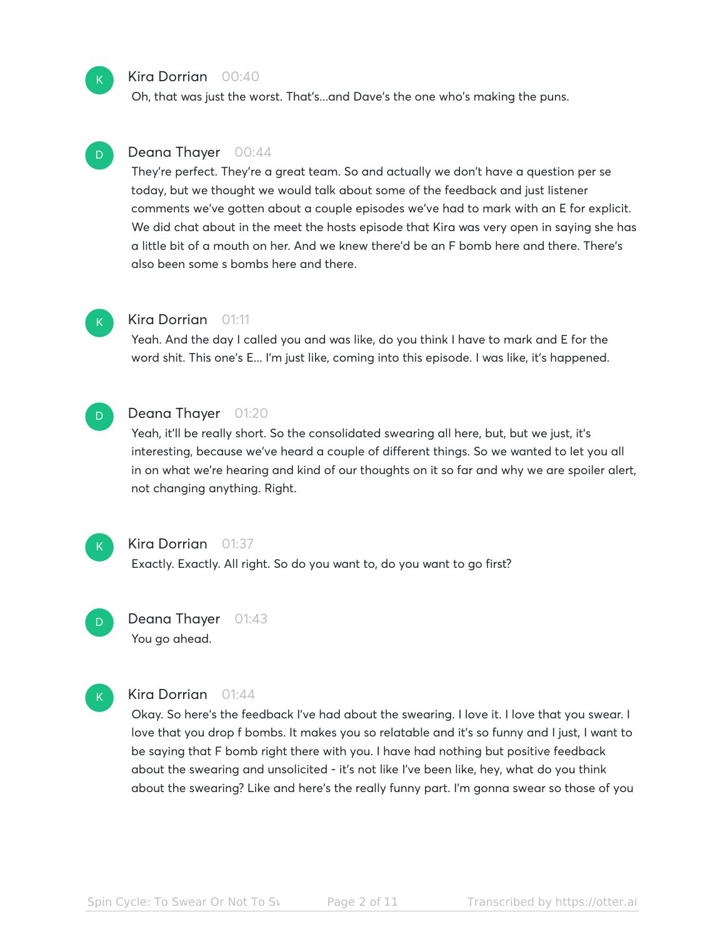#### Kira Dorrian 00:40

Oh, that was just the worst. That's...and Dave's the one who's making the puns.

# Deana Thayer 00:44

They're perfect. They're a great team. So and actually we don't have a question per se today, but we thought we would talk about some of the feedback and just listener comments we've gotten about a couple episodes we've had to mark with an E for explicit. We did chat about in the meet the hosts episode that Kira was very open in saying she has a little bit of a mouth on her. And we knew there'd be an F bomb here and there. There's also been some s bombs here and there.

#### Kira Dorrian 01:11 K

Yeah. And the day I called you and was like, do you think I have to mark and E for the word shit. This one's E... I'm just like, coming into this episode. I was like, it's happened.

# D

 $\mathsf{K}_{\scriptscriptstyle{+}}$ 

D

#### Deana Thayer 01:20

Yeah, it'll be really short. So the consolidated swearing all here, but, but we just, it's interesting, because we've heard a couple of different things. So we wanted to let you all in on what we're hearing and kind of our thoughts on it so far and why we are spoiler alert, not changing anything. Right.



# Kira Dorrian 01:37

Exactly. Exactly. All right. So do you want to, do you want to go first?



# Deana Thayer 01:43 You go ahead.



#### Kira Dorrian 01:44

Okay. So here's the feedback I've had about the swearing. I love it. I love that you swear. I love that you drop f bombs. It makes you so relatable and it's so funny and I just, I want to be saying that F bomb right there with you. I have had nothing but positive feedback about the swearing and unsolicited - it's not like I've been like, hey, what do you think about the swearing? Like and here's the really funny part. I'm gonna swear so those of you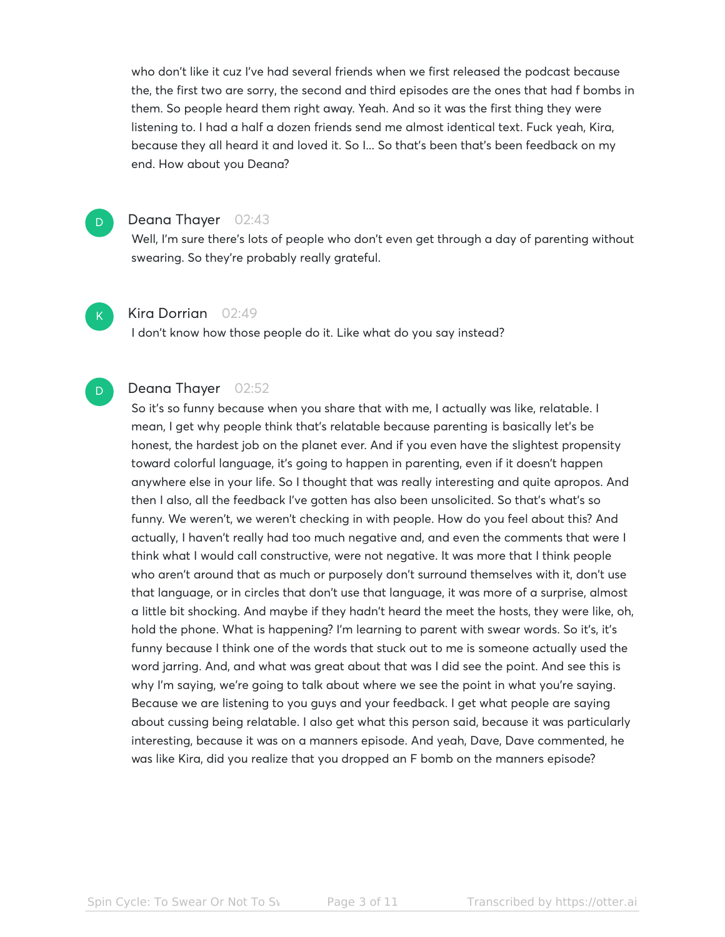who don't like it cuz I've had several friends when we first released the podcast because the, the first two are sorry, the second and third episodes are the ones that had f bombs in them. So people heard them right away. Yeah. And so it was the first thing they were listening to. I had a half a dozen friends send me almost identical text. Fuck yeah, Kira, because they all heard it and loved it. So I... So that's been that's been feedback on my end. How about you Deana?

# D

#### Deana Thayer 02:43

Well, I'm sure there's lots of people who don't even get through a day of parenting without swearing. So they're probably really grateful.

# K

D

Kira Dorrian 02:49

I don't know how those people do it. Like what do you say instead?

# Deana Thayer 02:52

So it's so funny because when you share that with me, I actually was like, relatable. I mean, I get why people think that's relatable because parenting is basically let's be honest, the hardest job on the planet ever. And if you even have the slightest propensity toward colorful language, it's going to happen in parenting, even if it doesn't happen anywhere else in your life. So I thought that was really interesting and quite apropos. And then I also, all the feedback I've gotten has also been unsolicited. So that's what's so funny. We weren't, we weren't checking in with people. How do you feel about this? And actually, I haven't really had too much negative and, and even the comments that were I think what I would call constructive, were not negative. It was more that I think people who aren't around that as much or purposely don't surround themselves with it, don't use that language, or in circles that don't use that language, it was more of a surprise, almost a little bit shocking. And maybe if they hadn't heard the meet the hosts, they were like, oh, hold the phone. What is happening? I'm learning to parent with swear words. So it's, it's funny because I think one of the words that stuck out to me is someone actually used the word jarring. And, and what was great about that was I did see the point. And see this is why I'm saying, we're going to talk about where we see the point in what you're saying. Because we are listening to you guys and your feedback. I get what people are saying about cussing being relatable. I also get what this person said, because it was particularly interesting, because it was on a manners episode. And yeah, Dave, Dave commented, he was like Kira, did you realize that you dropped an F bomb on the manners episode?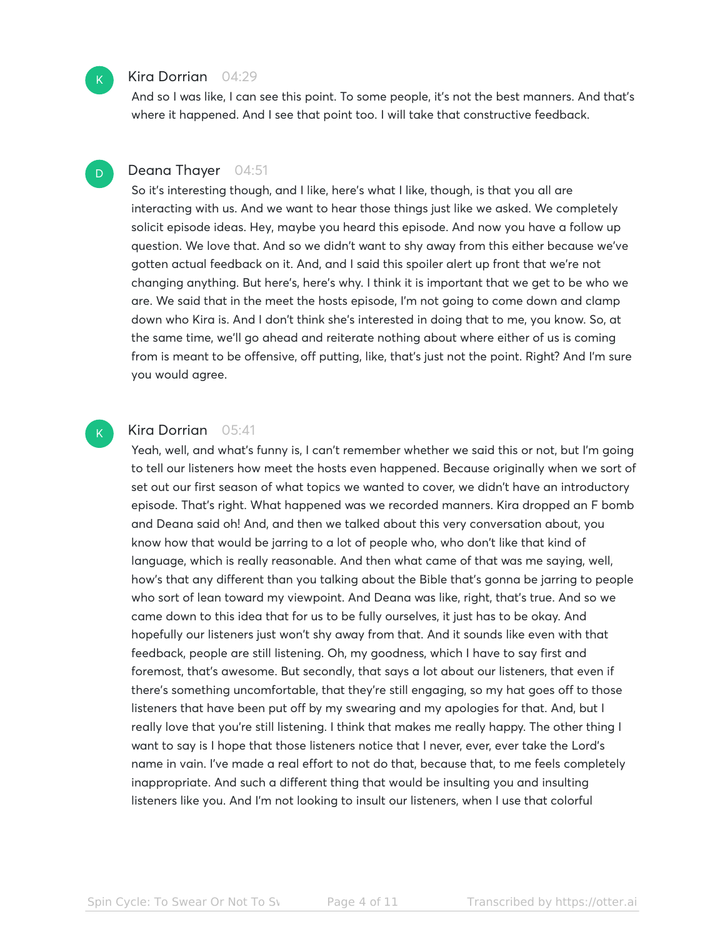#### Kira Dorrian 04:29

And so I was like, I can see this point. To some people, it's not the best manners. And that's where it happened. And I see that point too. I will take that constructive feedback.

#### Deana Thayer 04:51 D

So it's interesting though, and I like, here's what I like, though, is that you all are interacting with us. And we want to hear those things just like we asked. We completely solicit episode ideas. Hey, maybe you heard this episode. And now you have a follow up question. We love that. And so we didn't want to shy away from this either because we've gotten actual feedback on it. And, and I said this spoiler alert up front that we're not changing anything. But here's, here's why. I think it is important that we get to be who we are. We said that in the meet the hosts episode, I'm not going to come down and clamp down who Kira is. And I don't think she's interested in doing that to me, you know. So, at the same time, we'll go ahead and reiterate nothing about where either of us is coming from is meant to be offensive, off putting, like, that's just not the point. Right? And I'm sure you would agree.

# Kira Dorrian 05:41

Yeah, well, and what's funny is, I can't remember whether we said this or not, but I'm going to tell our listeners how meet the hosts even happened. Because originally when we sort of set out our first season of what topics we wanted to cover, we didn't have an introductory episode. That's right. What happened was we recorded manners. Kira dropped an F bomb and Deana said oh! And, and then we talked about this very conversation about, you know how that would be jarring to a lot of people who, who don't like that kind of language, which is really reasonable. And then what came of that was me saying, well, how's that any different than you talking about the Bible that's gonna be jarring to people who sort of lean toward my viewpoint. And Deana was like, right, that's true. And so we came down to this idea that for us to be fully ourselves, it just has to be okay. And hopefully our listeners just won't shy away from that. And it sounds like even with that feedback, people are still listening. Oh, my goodness, which I have to say first and foremost, that's awesome. But secondly, that says a lot about our listeners, that even if there's something uncomfortable, that they're still engaging, so my hat goes off to those listeners that have been put off by my swearing and my apologies for that. And, but I really love that you're still listening. I think that makes me really happy. The other thing I want to say is I hope that those listeners notice that I never, ever, ever take the Lord's name in vain. I've made a real effort to not do that, because that, to me feels completely inappropriate. And such a different thing that would be insulting you and insulting listeners like you. And I'm not looking to insult our listeners, when I use that colorful

 $\mathsf{K}_{\scriptscriptstyle{+}}$ 

 $K$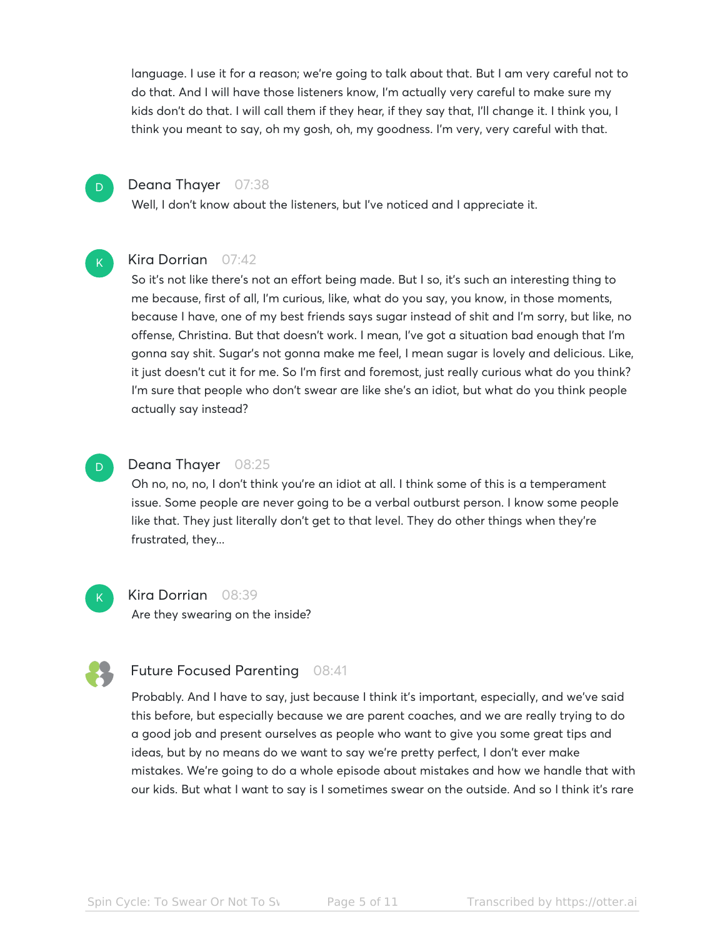language. I use it for a reason; we're going to talk about that. But I am very careful not to do that. And I will have those listeners know, I'm actually very careful to make sure my kids don't do that. I will call them if they hear, if they say that, I'll change it. I think you, I think you meant to say, oh my gosh, oh, my goodness. I'm very, very careful with that.



 $\mathsf{K}_{\scriptscriptstyle{+}}$ 

### Deana Thayer 07:38

Well, I don't know about the listeners, but I've noticed and I appreciate it.

# Kira Dorrian 07:42

So it's not like there's not an effort being made. But I so, it's such an interesting thing to me because, first of all, I'm curious, like, what do you say, you know, in those moments, because I have, one of my best friends says sugar instead of shit and I'm sorry, but like, no offense, Christina. But that doesn't work. I mean, I've got a situation bad enough that I'm gonna say shit. Sugar's not gonna make me feel, I mean sugar is lovely and delicious. Like, it just doesn't cut it for me. So I'm first and foremost, just really curious what do you think? I'm sure that people who don't swear are like she's an idiot, but what do you think people actually say instead?



 $\mathsf{K}_{\scriptscriptstyle{+}}$ 

#### Deana Thayer 08:25

Oh no, no, no, I don't think you're an idiot at all. I think some of this is a temperament issue. Some people are never going to be a verbal outburst person. I know some people like that. They just literally don't get to that level. They do other things when they're frustrated, they...

Kira Dorrian 08:39 Are they swearing on the inside?

# Future Focused Parenting 08:41

Probably. And I have to say, just because I think it's important, especially, and we've said this before, but especially because we are parent coaches, and we are really trying to do a good job and present ourselves as people who want to give you some great tips and ideas, but by no means do we want to say we're pretty perfect, I don't ever make mistakes. We're going to do a whole episode about mistakes and how we handle that with our kids. But what I want to say is I sometimes swear on the outside. And so I think it's rare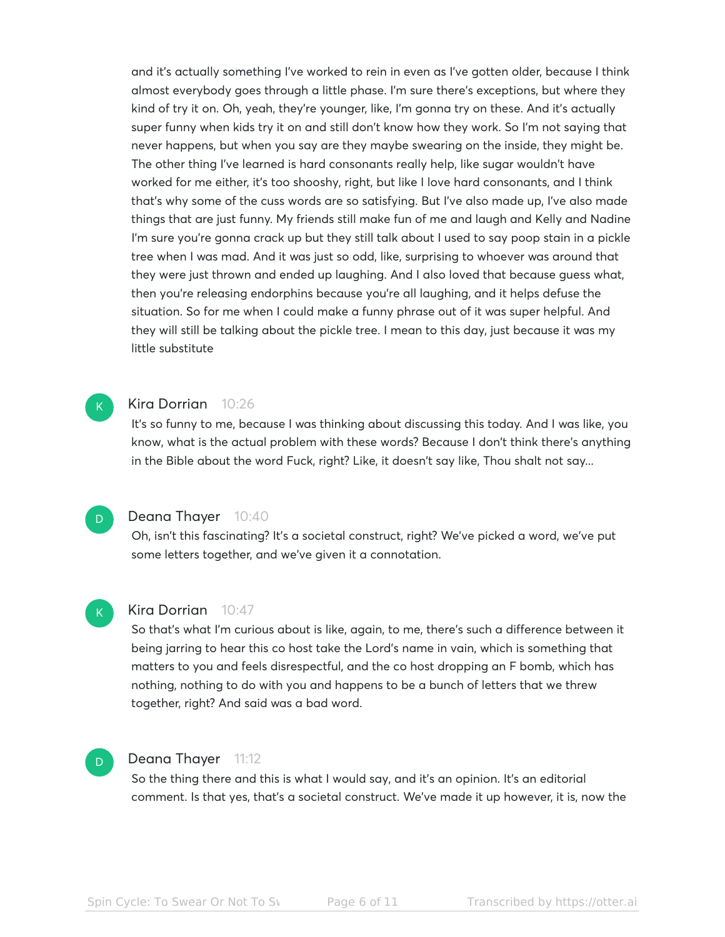and it's actually something I've worked to rein in even as I've gotten older, because I think almost everybody goes through a little phase. I'm sure there's exceptions, but where they kind of try it on. Oh, yeah, they're younger, like, I'm gonna try on these. And it's actually super funny when kids try it on and still don't know how they work. So I'm not saying that never happens, but when you say are they maybe swearing on the inside, they might be. The other thing I've learned is hard consonants really help, like sugar wouldn't have worked for me either, it's too shooshy, right, but like I love hard consonants, and I think that's why some of the cuss words are so satisfying. But I've also made up, I've also made things that are just funny. My friends still make fun of me and laugh and Kelly and Nadine I'm sure you're gonna crack up but they still talk about I used to say poop stain in a pickle tree when I was mad. And it was just so odd, like, surprising to whoever was around that they were just thrown and ended up laughing. And I also loved that because guess what, then you're releasing endorphins because you're all laughing, and it helps defuse the situation. So for me when I could make a funny phrase out of it was super helpful. And they will still be talking about the pickle tree. I mean to this day, just because it was my little substitute



#### Kira Dorrian 10:26

It's so funny to me, because I was thinking about discussing this today. And I was like, you know, what is the actual problem with these words? Because I don't think there's anything in the Bible about the word Fuck, right? Like, it doesn't say like, Thou shalt not say...

# D

K

#### Deana Thayer 10:40

Oh, isn't this fascinating? It's a societal construct, right? We've picked a word, we've put some letters together, and we've given it a connotation.

#### Kira Dorrian 10:47

So that's what I'm curious about is like, again, to me, there's such a difference between it being jarring to hear this co host take the Lord's name in vain, which is something that matters to you and feels disrespectful, and the co host dropping an F bomb, which has nothing, nothing to do with you and happens to be a bunch of letters that we threw together, right? And said was a bad word.

# D

#### Deana Thayer 11:12

So the thing there and this is what I would say, and it's an opinion. It's an editorial comment. Is that yes, that's a societal construct. We've made it up however, it is, now the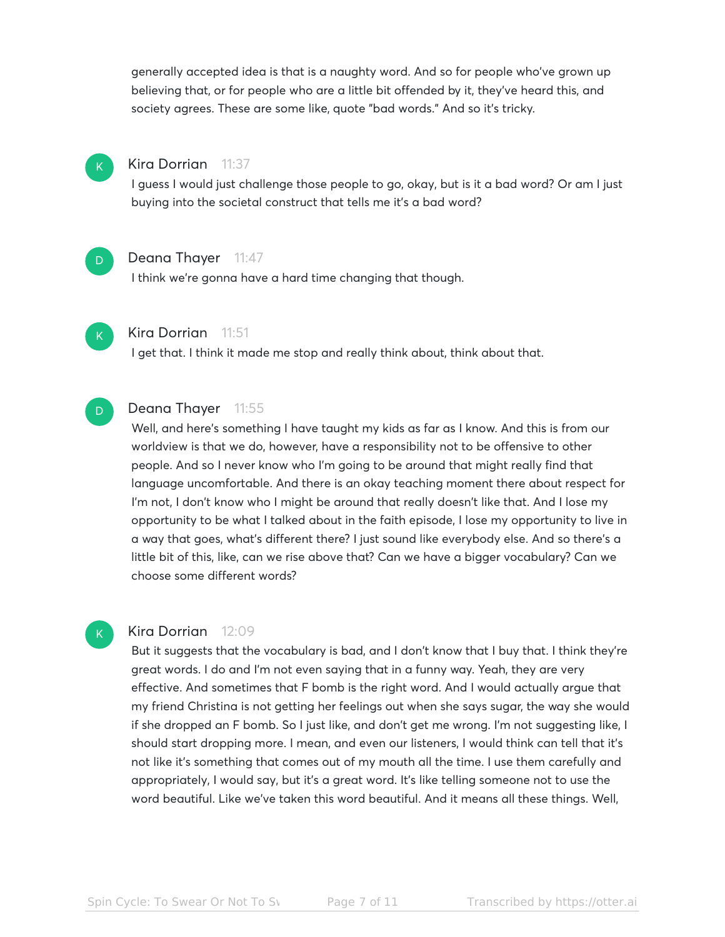generally accepted idea is that is a naughty word. And so for people who've grown up believing that, or for people who are a little bit offended by it, they've heard this, and society agrees. These are some like, quote "bad words." And so it's tricky.



# Kira Dorrian 11:37

I guess I would just challenge those people to go, okay, but is it a bad word? Or am I just buying into the societal construct that tells me it's a bad word?



#### Deana Thayer 11:47

I think we're gonna have a hard time changing that though.



D

#### Kira Dorrian 11:51

I get that. I think it made me stop and really think about, think about that.

#### Deana Thayer 11:55

Well, and here's something I have taught my kids as far as I know. And this is from our worldview is that we do, however, have a responsibility not to be offensive to other people. And so I never know who I'm going to be around that might really find that language uncomfortable. And there is an okay teaching moment there about respect for I'm not, I don't know who I might be around that really doesn't like that. And I lose my opportunity to be what I talked about in the faith episode, I lose my opportunity to live in a way that goes, what's different there? I just sound like everybody else. And so there's a little bit of this, like, can we rise above that? Can we have a bigger vocabulary? Can we choose some different words?

#### K

#### Kira Dorrian 12:09

But it suggests that the vocabulary is bad, and I don't know that I buy that. I think they're great words. I do and I'm not even saying that in a funny way. Yeah, they are very effective. And sometimes that F bomb is the right word. And I would actually argue that my friend Christina is not getting her feelings out when she says sugar, the way she would if she dropped an F bomb. So I just like, and don't get me wrong. I'm not suggesting like, I should start dropping more. I mean, and even our listeners, I would think can tell that it's not like it's something that comes out of my mouth all the time. I use them carefully and appropriately, I would say, but it's a great word. It's like telling someone not to use the word beautiful. Like we've taken this word beautiful. And it means all these things. Well,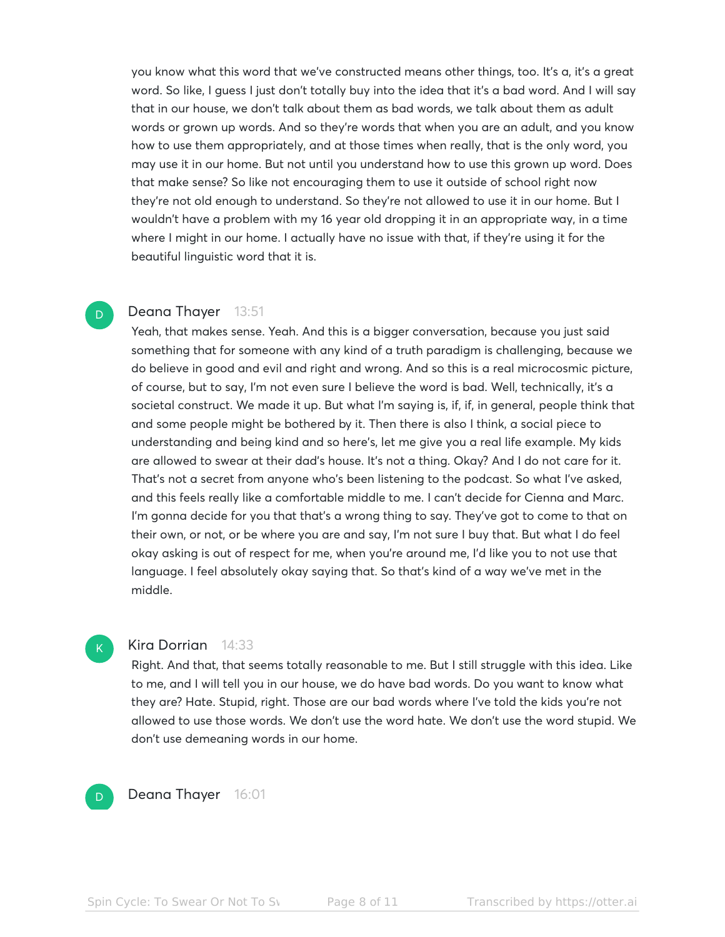you know what this word that we've constructed means other things, too. It's a, it's a great word. So like, I guess I just don't totally buy into the idea that it's a bad word. And I will say that in our house, we don't talk about them as bad words, we talk about them as adult words or grown up words. And so they're words that when you are an adult, and you know how to use them appropriately, and at those times when really, that is the only word, you may use it in our home. But not until you understand how to use this grown up word. Does that make sense? So like not encouraging them to use it outside of school right now they're not old enough to understand. So they're not allowed to use it in our home. But I wouldn't have a problem with my 16 year old dropping it in an appropriate way, in a time where I might in our home. I actually have no issue with that, if they're using it for the beautiful linguistic word that it is.

# Deana Thayer 13:51

Yeah, that makes sense. Yeah. And this is a bigger conversation, because you just said something that for someone with any kind of a truth paradigm is challenging, because we do believe in good and evil and right and wrong. And so this is a real microcosmic picture, of course, but to say, I'm not even sure I believe the word is bad. Well, technically, it's a societal construct. We made it up. But what I'm saying is, if, if, in general, people think that and some people might be bothered by it. Then there is also I think, a social piece to understanding and being kind and so here's, let me give you a real life example. My kids are allowed to swear at their dad's house. It's not a thing. Okay? And I do not care for it. That's not a secret from anyone who's been listening to the podcast. So what I've asked, and this feels really like a comfortable middle to me. I can't decide for Cienna and Marc. I'm gonna decide for you that that's a wrong thing to say. They've got to come to that on their own, or not, or be where you are and say, I'm not sure I buy that. But what I do feel okay asking is out of respect for me, when you're around me, I'd like you to not use that language. I feel absolutely okay saying that. So that's kind of a way we've met in the middle.

# K

D

#### Kira Dorrian 14:33

Right. And that, that seems totally reasonable to me. But I still struggle with this idea. Like to me, and I will tell you in our house, we do have bad words. Do you want to know what they are? Hate. Stupid, right. Those are our bad words where I've told the kids you're not allowed to use those words. We don't use the word hate. We don't use the word stupid. We don't use demeaning words in our home.



Deana Thayer 16:01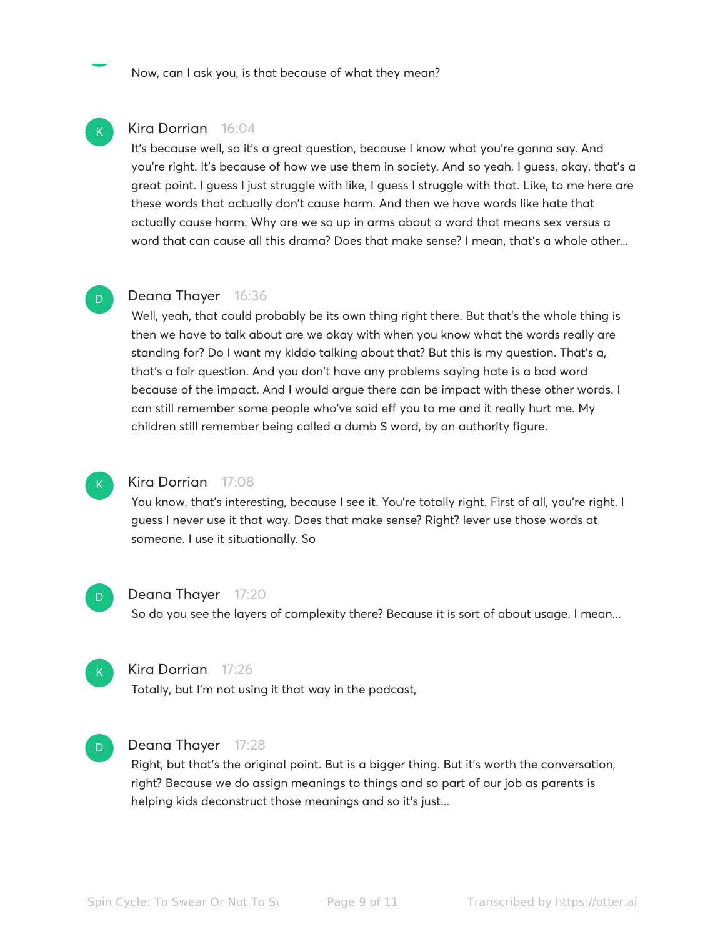Now, can I ask you, is that because of what they mean?

# Kira Dorrian 16:04

It's because well, so it's a great question, because I know what you're gonna say. And you're right. It's because of how we use them in society. And so yeah, I guess, okay, that's a great point. I guess I just struggle with like, I guess I struggle with that. Like, to me here are these words that actually don't cause harm. And then we have words like hate that actually cause harm. Why are we so up in arms about a word that means sex versus a word that can cause all this drama? Does that make sense? I mean, that's a whole other...

# Deana Thayer 16:36

Well, yeah, that could probably be its own thing right there. But that's the whole thing is then we have to talk about are we okay with when you know what the words really are standing for? Do I want my kiddo talking about that? But this is my question. That's a, that's a fair question. And you don't have any problems saying hate is a bad word because of the impact. And I would argue there can be impact with these other words. I can still remember some people who've said eff you to me and it really hurt me. My children still remember being called a dumb S word, by an authority figure.

# K

 $\mathsf{K}_{\scriptscriptstyle{+}}$ 

D

#### Kira Dorrian 17:08

You know, that's interesting, because I see it. You're totally right. First of all, you're right. I guess I never use it that way. Does that make sense? Right? Iever use those words at someone. I use it situationally. So

# D

### Deana Thayer 17:20

So do you see the layers of complexity there? Because it is sort of about usage. I mean...



#### Kira Dorrian 17:26

Totally, but I'm not using it that way in the podcast,



#### Deana Thayer 17:28

Right, but that's the original point. But is a bigger thing. But it's worth the conversation, right? Because we do assign meanings to things and so part of our job as parents is helping kids deconstruct those meanings and so it's just...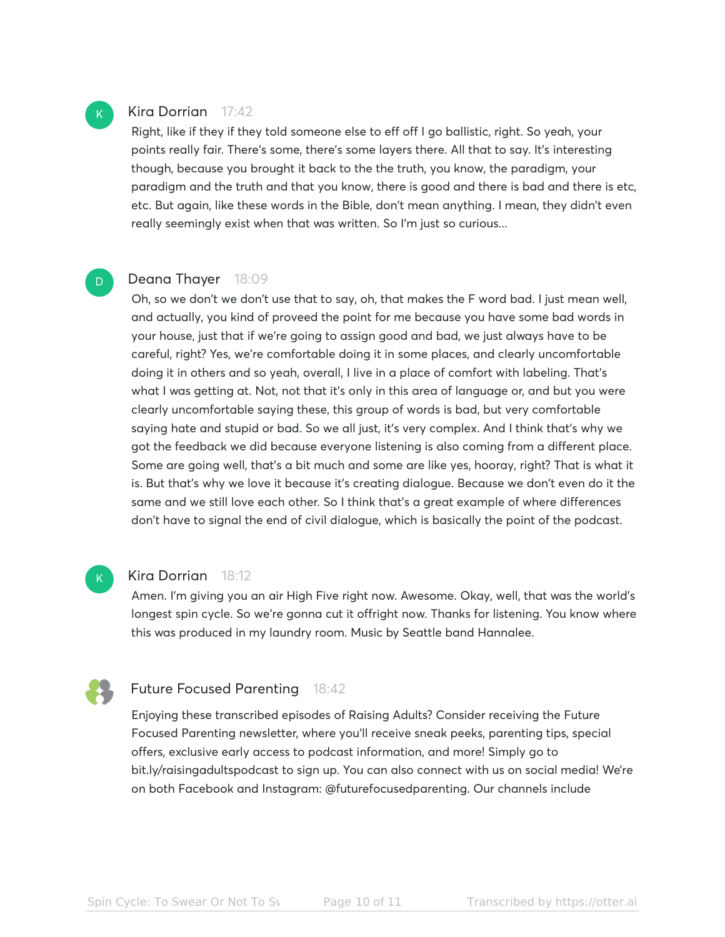# Kira Dorrian 17:42

Right, like if they if they told someone else to eff off I go ballistic, right. So yeah, your points really fair. There's some, there's some layers there. All that to say. It's interesting though, because you brought it back to the the truth, you know, the paradigm, your paradigm and the truth and that you know, there is good and there is bad and there is etc, etc. But again, like these words in the Bible, don't mean anything. I mean, they didn't even really seemingly exist when that was written. So I'm just so curious...

# Deana Thayer 18:09

Oh, so we don't we don't use that to say, oh, that makes the F word bad. I just mean well, and actually, you kind of proveed the point for me because you have some bad words in your house, just that if we're going to assign good and bad, we just always have to be careful, right? Yes, we're comfortable doing it in some places, and clearly uncomfortable doing it in others and so yeah, overall, I live in a place of comfort with labeling. That's what I was getting at. Not, not that it's only in this area of language or, and but you were clearly uncomfortable saying these, this group of words is bad, but very comfortable saying hate and stupid or bad. So we all just, it's very complex. And I think that's why we got the feedback we did because everyone listening is also coming from a different place. Some are going well, that's a bit much and some are like yes, hooray, right? That is what it is. But that's why we love it because it's creating dialogue. Because we don't even do it the same and we still love each other. So I think that's a great example of where differences don't have to signal the end of civil dialogue, which is basically the point of the podcast.



#### Kira Dorrian 18:12

Amen. I'm giving you an air High Five right now. Awesome. Okay, well, that was the world's longest spin cycle. So we're gonna cut it offright now. Thanks for listening. You know where this was produced in my laundry room. Music by Seattle band Hannalee.



# Future Focused Parenting 18:42

Enjoying these transcribed episodes of Raising Adults? Consider receiving the Future Focused Parenting newsletter, where you'll receive sneak peeks, parenting tips, special offers, exclusive early access to podcast information, and more! Simply go to bit.ly/raisingadultspodcast to sign up. You can also connect with us on social media! We're on both Facebook and Instagram: @futurefocusedparenting. Our channels include

 $\mathsf{K}_{\scriptscriptstyle{+}}$ 

D